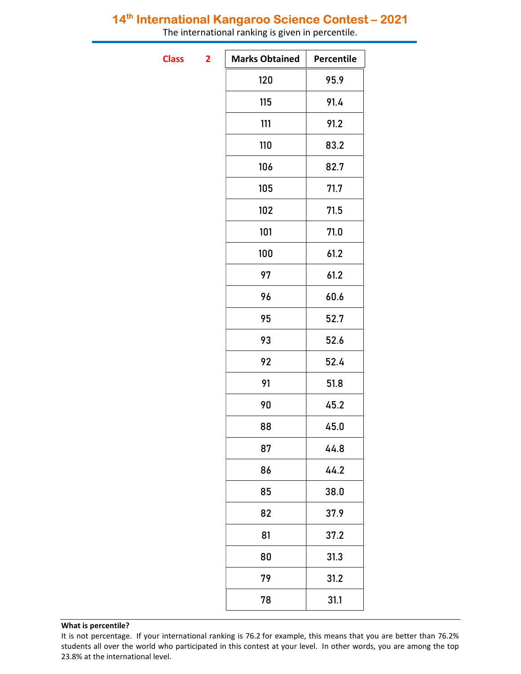## 14<sup>th</sup> International Kangaroo Science Contest - 2021

The international ranking is given in percentile.

**Class** 

| $\overline{\mathbf{2}}$ | <b>Marks Obtained</b> | Percentile |
|-------------------------|-----------------------|------------|
|                         | 120                   | 95.9       |
|                         | 115                   | 91.4       |
|                         | 111                   | 91.2       |
|                         | 110                   | 83.2       |
|                         | 106                   | 82.7       |
|                         | 105                   | 71.7       |
|                         | 102                   | 71.5       |
|                         | 101                   | 71.0       |
|                         | 100                   | 61.2       |
|                         | 97                    | 61.2       |
|                         | 96                    | 60.6       |
|                         | 95                    | 52.7       |
|                         | 93                    | 52.6       |
|                         | 92                    | 52.4       |
|                         | 91                    | 51.8       |
|                         | 90                    | 45.2       |
|                         | 88                    | 45.0       |
|                         | 87                    | 44.8       |
|                         | 86                    | 44.2       |
|                         | 85                    | 38.0       |
|                         | 82                    | 37.9       |
|                         | 81                    | 37.2       |
|                         | 80                    | 31.3       |
|                         | 79                    | 31.2       |
|                         | 78                    | 31.1       |
|                         |                       |            |

## What is percentile?

It is not percentage. If your international ranking is 76.2 for example, this means that you are better than 76.2% students all over the world who participated in this contest at your level. In other words, you are among the top 23.8% at the international level.